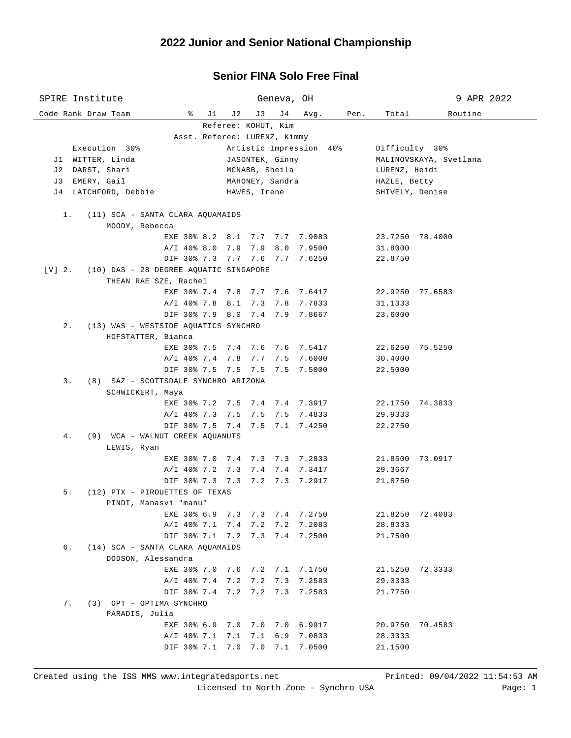## **Senior FINA Solo Free Final**

| SPIRE Institute                                    |                           | Geneva, OH                     | 9 APR 2022             |  |  |  |  |  |  |  |
|----------------------------------------------------|---------------------------|--------------------------------|------------------------|--|--|--|--|--|--|--|
| Code Rank Draw Team                                | $\sqrt[3]{}$<br>J 2<br>J3 | J 4<br>Avg.<br>Pen.            | Routine<br>Total       |  |  |  |  |  |  |  |
| Referee: KOHUT, Kim                                |                           |                                |                        |  |  |  |  |  |  |  |
| Asst. Referee: LURENZ, Kimmy                       |                           |                                |                        |  |  |  |  |  |  |  |
| Execution 30%                                      |                           | Artistic Impression 40%        | Difficulty 30%         |  |  |  |  |  |  |  |
| J1 WITTER, Linda                                   |                           | JASONTEK, Ginny                | MALINOVSKAYA, Svetlana |  |  |  |  |  |  |  |
| J2 DARST, Shari                                    | MCNABB, Sheila            |                                | LURENZ, Heidi          |  |  |  |  |  |  |  |
| J3 EMERY, Gail                                     |                           | MAHONEY, Sandra                | HAZLE, Betty           |  |  |  |  |  |  |  |
| J4 LATCHFORD, Debbie                               | HAWES, Irene              |                                | SHIVELY, Denise        |  |  |  |  |  |  |  |
| $1$ .<br>(11) SCA - SANTA CLARA AQUAMAIDS          |                           |                                |                        |  |  |  |  |  |  |  |
| MOODY, Rebecca                                     |                           |                                |                        |  |  |  |  |  |  |  |
|                                                    |                           | EXE 30% 8.2 8.1 7.7 7.7 7.9083 | 23.7250 78.4000        |  |  |  |  |  |  |  |
|                                                    | A/I 40% 8.0 7.9 7.9       | 8.0 7.9500                     | 31.8000                |  |  |  |  |  |  |  |
|                                                    |                           | DIF 30% 7.3 7.7 7.6 7.7 7.6250 | 22.8750                |  |  |  |  |  |  |  |
| (10) DAS - 28 DEGREE AQUATIC SINGAPORE<br>$[V]$ 2. |                           |                                |                        |  |  |  |  |  |  |  |
| THEAN RAE SZE, Rachel                              |                           |                                |                        |  |  |  |  |  |  |  |
|                                                    |                           | EXE 30% 7.4 7.8 7.7 7.6 7.6417 | 22.9250 77.6583        |  |  |  |  |  |  |  |
|                                                    | A/I 40% 7.8 8.1           | 7.3 7.8 7.7833                 | 31.1333                |  |  |  |  |  |  |  |
|                                                    |                           | DIF 30% 7.9 8.0 7.4 7.9 7.8667 | 23.6000                |  |  |  |  |  |  |  |
| $2$ .<br>(13) WAS - WESTSIDE AQUATICS SYNCHRO      |                           |                                |                        |  |  |  |  |  |  |  |
| HOFSTATTER, Bianca                                 |                           |                                |                        |  |  |  |  |  |  |  |
|                                                    |                           | EXE 30% 7.5 7.4 7.6 7.6 7.5417 | 22.6250 75.5250        |  |  |  |  |  |  |  |
|                                                    | A/I 40% 7.4 7.8 7.7       | 7.5 7.6000                     | 30.4000                |  |  |  |  |  |  |  |
|                                                    |                           | DIF 30% 7.5 7.5 7.5 7.5 7.5000 | 22.5000                |  |  |  |  |  |  |  |
| (8) SAZ - SCOTTSDALE SYNCHRO ARIZONA<br>3.         |                           |                                |                        |  |  |  |  |  |  |  |
| SCHWICKERT, Maya                                   |                           |                                |                        |  |  |  |  |  |  |  |
|                                                    |                           | EXE 30% 7.2 7.5 7.4 7.4 7.3917 | 22.1750 74.3833        |  |  |  |  |  |  |  |
|                                                    | A/I 40% 7.3 7.5 7.5       | 7.5 7.4833                     | 29.9333                |  |  |  |  |  |  |  |
| 4.                                                 |                           | DIF 30% 7.5 7.4 7.5 7.1 7.4250 | 22.2750                |  |  |  |  |  |  |  |
| (9) WCA - WALNUT CREEK AQUANUTS<br>LEWIS, Ryan     |                           |                                |                        |  |  |  |  |  |  |  |
|                                                    |                           | EXE 30% 7.0 7.4 7.3 7.3 7.2833 | 21.8500 73.0917        |  |  |  |  |  |  |  |
|                                                    |                           | A/I 40% 7.2 7.3 7.4 7.4 7.3417 | 29.3667                |  |  |  |  |  |  |  |
|                                                    |                           | DIF 30% 7.3 7.3 7.2 7.3 7.2917 | 21.8750                |  |  |  |  |  |  |  |
| 5.<br>(12) PTX - PIROUETTES OF TEXAS               |                           |                                |                        |  |  |  |  |  |  |  |
| PINDI, Manasvi "manu"                              |                           |                                |                        |  |  |  |  |  |  |  |
| EXE 30% 6.9                                        | 7.3<br>7.3                | 7.4<br>7.2750                  | 21.8250<br>72.4083     |  |  |  |  |  |  |  |
| $A/I$ 40% 7.1                                      | 7.4<br>7.2                | 7.2083<br>7.2                  | 28.8333                |  |  |  |  |  |  |  |
|                                                    | DIF 30% 7.1 7.2<br>7.3    | 7.4<br>7.2500                  | 21.7500                |  |  |  |  |  |  |  |
| б.<br>(14) SCA - SANTA CLARA AQUAMAIDS             |                           |                                |                        |  |  |  |  |  |  |  |
| DODSON, Alessandra                                 |                           |                                |                        |  |  |  |  |  |  |  |
| EXE 30% 7.0                                        | 7.6<br>7.2                | 7.1 7.1750                     | 21.5250 72.3333        |  |  |  |  |  |  |  |
| $A/I$ 40% 7.4                                      | 7.2<br>7.2                | 7.3<br>7.2583                  | 29.0333                |  |  |  |  |  |  |  |
|                                                    | DIF 30% 7.4 7.2 7.2       | 7.3<br>7.2583                  | 21.7750                |  |  |  |  |  |  |  |
| 7.<br>(3) OPT - OPTIMA SYNCHRO                     |                           |                                |                        |  |  |  |  |  |  |  |
| PARADIS, Julia                                     |                           |                                |                        |  |  |  |  |  |  |  |
|                                                    | EXE 30% 6.9 7.0 7.0       | 7.0 6.9917                     | 20.9750<br>70.4583     |  |  |  |  |  |  |  |
| $A/I$ 40% 7.1                                      | 7.1<br>7.1                | 6.9<br>7.0833                  | 28.3333                |  |  |  |  |  |  |  |
| DIF 30% 7.1                                        | 7.0<br>7.0                | 7.1<br>7.0500                  | 21.1500                |  |  |  |  |  |  |  |